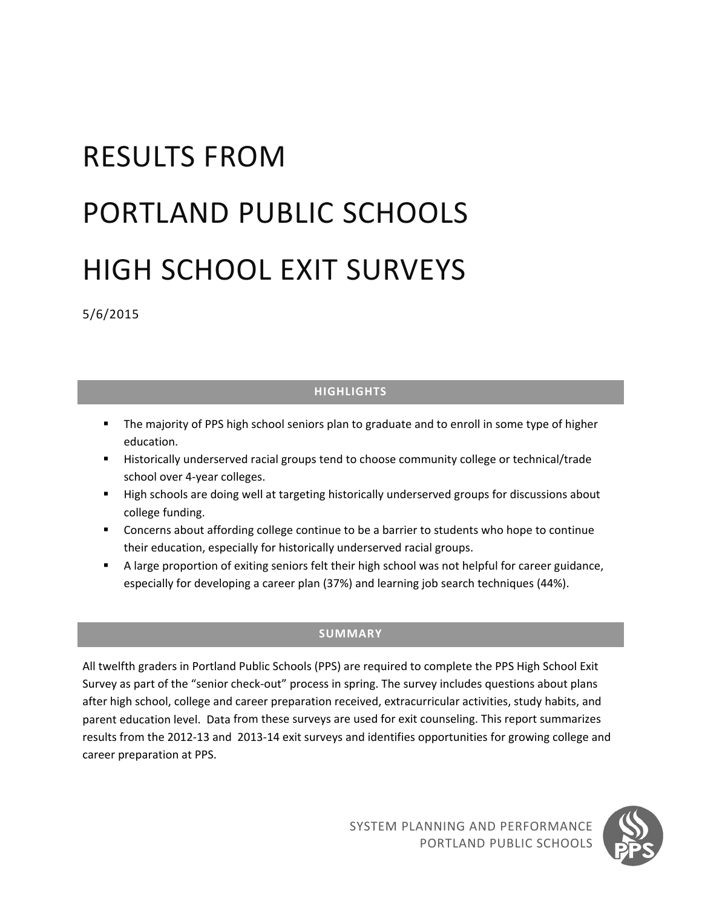# RESULTS FROM PORTLAND PUBLIC SCHOOLS HIGH SCHOOL EXIT SURVEYS

5/6/2015

# **HIGHLIGHTS**

- **The majority of PPS high school seniors plan to graduate and to enroll in some type of higher** education.
- **Historically underserved racial groups tend to choose community college or technical/trade** school over 4‐year colleges.
- **High schools are doing well at targeting historically underserved groups for discussions about** college funding.
- Concerns about affording college continue to be a barrier to students who hope to continue their education, especially for historically underserved racial groups.
- A large proportion of exiting seniors felt their high school was not helpful for career guidance, especially for developing a career plan (37%) and learning job search techniques (44%).

# **SUMMARY**

All twelfth graders in Portland Public Schools (PPS) are required to complete the PPS High School Exit Survey as part of the "senior check‐out" process in spring. The survey includes questions about plans after high school, college and career preparation received, extracurricular activities, study habits, and parent education level. Data from these surveys are used for exit counseling. This report summarizes results from the 2012‐13 and 2013‐14 exit surveys and identifies opportunities for growing college and career preparation at PPS.

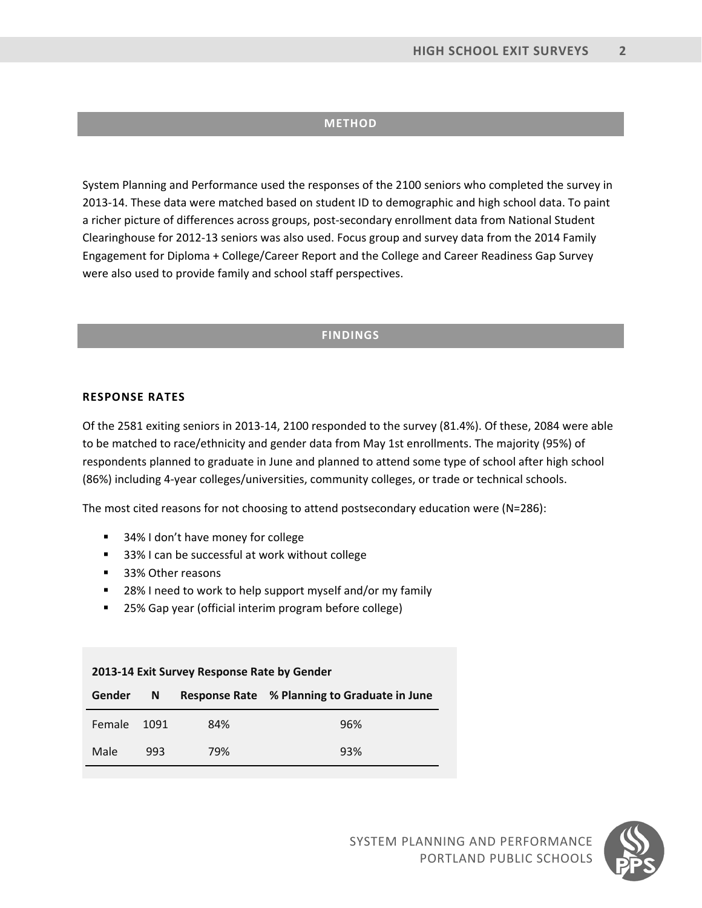#### **METHOD**

System Planning and Performance used the responses of the 2100 seniors who completed the survey in 2013‐14. These data were matched based on student ID to demographic and high school data. To paint a richer picture of differences across groups, post-secondary enrollment data from National Student Clearinghouse for 2012‐13 seniors was also used. Focus group and survey data from the 2014 Family Engagement for Diploma + College/Career Report and the College and Career Readiness Gap Survey were also used to provide family and school staff perspectives.

# **FINDINGS**

#### **RESPONSE RATES**

Of the 2581 exiting seniors in 2013‐14, 2100 responded to the survey (81.4%). Of these, 2084 were able to be matched to race/ethnicity and gender data from May 1st enrollments. The majority (95%) of respondents planned to graduate in June and planned to attend some type of school after high school (86%) including 4‐year colleges/universities, community colleges, or trade or technical schools.

The most cited reasons for not choosing to attend postsecondary education were (N=286):

- 34% I don't have money for college
- 33% I can be successful at work without college
- 33% Other reasons
- 28% I need to work to help support myself and/or my family
- 25% Gap year (official interim program before college)

| 2013-14 Exit Survey Response Rate by Gender |      |     |                                              |  |
|---------------------------------------------|------|-----|----------------------------------------------|--|
| Gender                                      | N.   |     | Response Rate % Planning to Graduate in June |  |
| Female                                      | 1091 | 84% | 96%                                          |  |
| Male                                        | 993  | 79% | 93%                                          |  |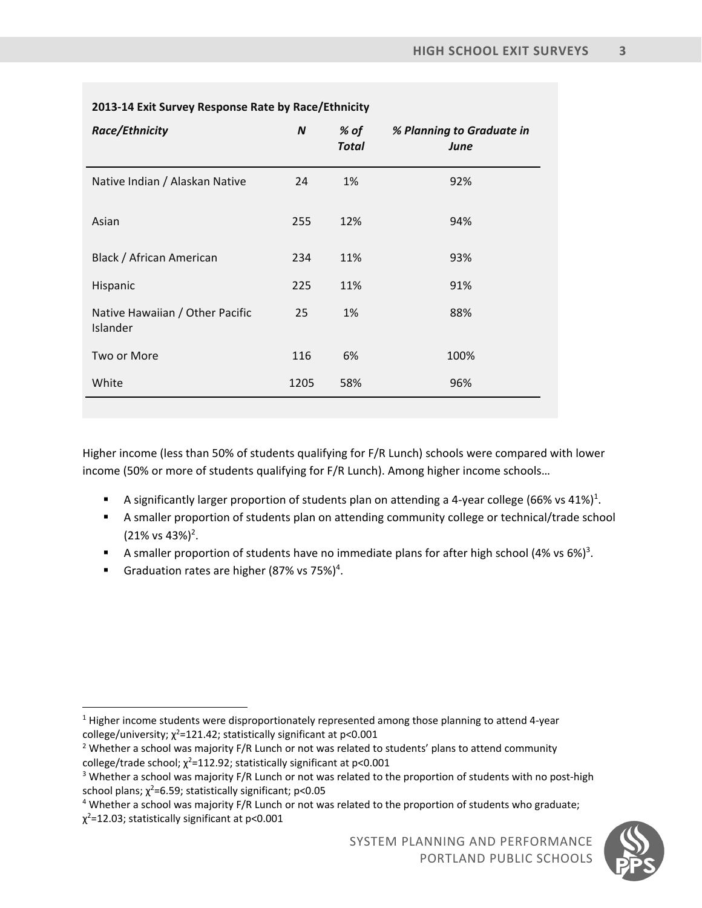| <b>Race/Ethnicity</b>                       | $\boldsymbol{N}$ | % of<br><b>Total</b> | % Planning to Graduate in<br>June |
|---------------------------------------------|------------------|----------------------|-----------------------------------|
| Native Indian / Alaskan Native              | 24               | 1%                   | 92%                               |
| Asian                                       | 255              | 12%                  | 94%                               |
| Black / African American                    | 234              | 11%                  | 93%                               |
| Hispanic                                    | 225              | 11%                  | 91%                               |
| Native Hawaiian / Other Pacific<br>Islander | 25               | 1%                   | 88%                               |
| Two or More                                 | 116              | 6%                   | 100%                              |
| White                                       | 1205             | 58%                  | 96%                               |

# **2013‐14 Exit Survey Response Rate by Race/Ethnicity**

Higher income (less than 50% of students qualifying for F/R Lunch) schools were compared with lower income (50% or more of students qualifying for F/R Lunch). Among higher income schools…

- A significantly larger proportion of students plan on attending a 4-year college (66% vs 41%)<sup>1</sup>.
- A smaller proportion of students plan on attending community college or technical/trade school  $(21\% \text{ vs } 43\%)^2$ .
- A smaller proportion of students have no immediate plans for after high school (4% vs 6%)<sup>3</sup>.
- Graduation rates are higher (87% vs 75%)<sup>4</sup>.



 <sup>1</sup> Higher income students were disproportionately represented among those planning to attend 4‐year college/university;  $\chi^2$ =121.42; statistically significant at p<0.001

<sup>&</sup>lt;sup>2</sup> Whether a school was majority F/R Lunch or not was related to students' plans to attend community college/trade school;  $\chi^2$ =112.92; statistically significant at p<0.001

<sup>&</sup>lt;sup>3</sup> Whether a school was majority F/R Lunch or not was related to the proportion of students with no post-high school plans;  $\chi^2$ =6.59; statistically significant; p<0.05

<sup>4</sup> Whether a school was majority F/R Lunch or not was related to the proportion of students who graduate;  $\chi^2$ =12.03; statistically significant at p<0.001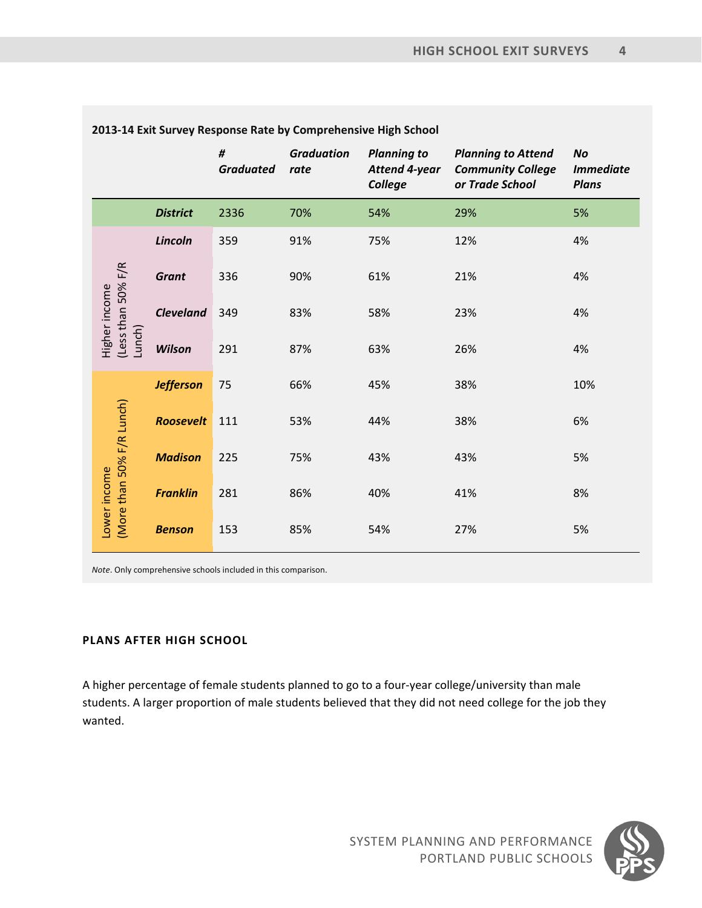|                                           |                  | $\#$<br><b>Graduated</b> | <b>Graduation</b><br>rate | <b>Planning to</b><br><b>Attend 4-year</b><br>College | <b>Planning to Attend</b><br><b>Community College</b><br>or Trade School | <b>No</b><br><b>Immediate</b><br><b>Plans</b> |
|-------------------------------------------|------------------|--------------------------|---------------------------|-------------------------------------------------------|--------------------------------------------------------------------------|-----------------------------------------------|
|                                           | <b>District</b>  | 2336                     | 70%                       | 54%                                                   | 29%                                                                      | 5%                                            |
|                                           | Lincoln          | 359                      | 91%                       | 75%                                                   | 12%                                                                      | 4%                                            |
| (Less than 50% F/R                        | <b>Grant</b>     | 336                      | 90%                       | 61%                                                   | 21%                                                                      | 4%                                            |
| Higher income                             | <b>Cleveland</b> | 349                      | 83%                       | 58%                                                   | 23%                                                                      | 4%                                            |
| Lunch)                                    | Wilson           | 291                      | 87%                       | 63%                                                   | 26%                                                                      | 4%                                            |
|                                           | <b>Jefferson</b> | 75                       | 66%                       | 45%                                                   | 38%                                                                      | 10%                                           |
| (More than 50% F/R Lunch)<br>Lower income | <b>Roosevelt</b> | 111                      | 53%                       | 44%                                                   | 38%                                                                      | 6%                                            |
|                                           | <b>Madison</b>   | 225                      | 75%                       | 43%                                                   | 43%                                                                      | 5%                                            |
|                                           | <b>Franklin</b>  | 281                      | 86%                       | 40%                                                   | 41%                                                                      | 8%                                            |
|                                           | <b>Benson</b>    | 153                      | 85%                       | 54%                                                   | 27%                                                                      | 5%                                            |

### **2013‐14 Exit Survey Response Rate by Comprehensive High School**

*Note*. Only comprehensive schools included in this comparison.

# **PLANS AFTER HIGH SCHOOL**

A higher percentage of female students planned to go to a four‐year college/university than male students. A larger proportion of male students believed that they did not need college for the job they wanted.

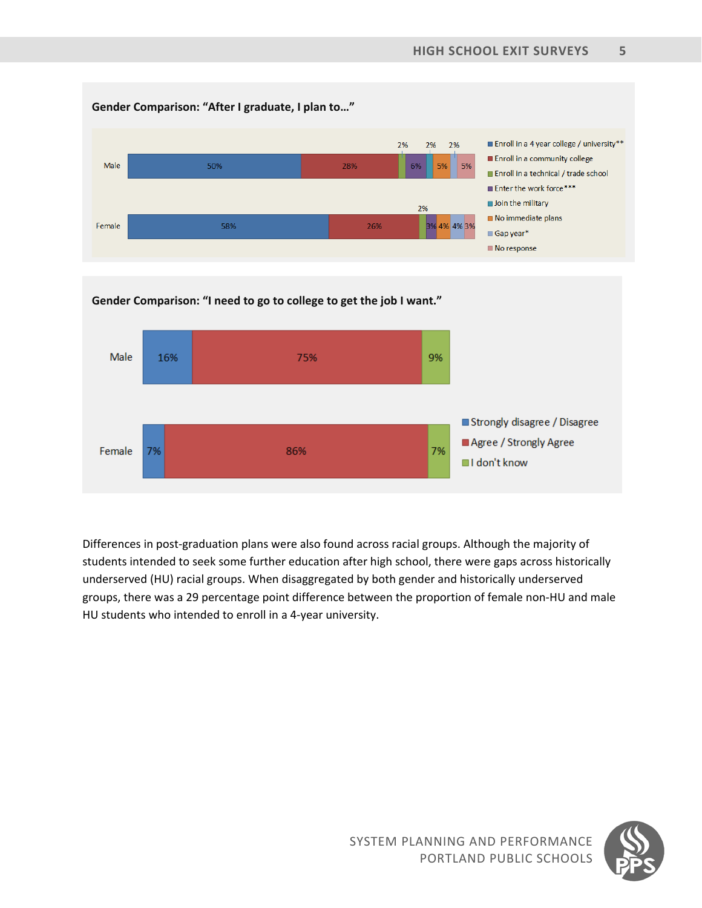

Differences in post‐graduation plans were also found across racial groups. Although the majority of students intended to seek some further education after high school, there were gaps across historically underserved (HU) racial groups. When disaggregated by both gender and historically underserved groups, there was a 29 percentage point difference between the proportion of female non‐HU and male HU students who intended to enroll in a 4‐year university.

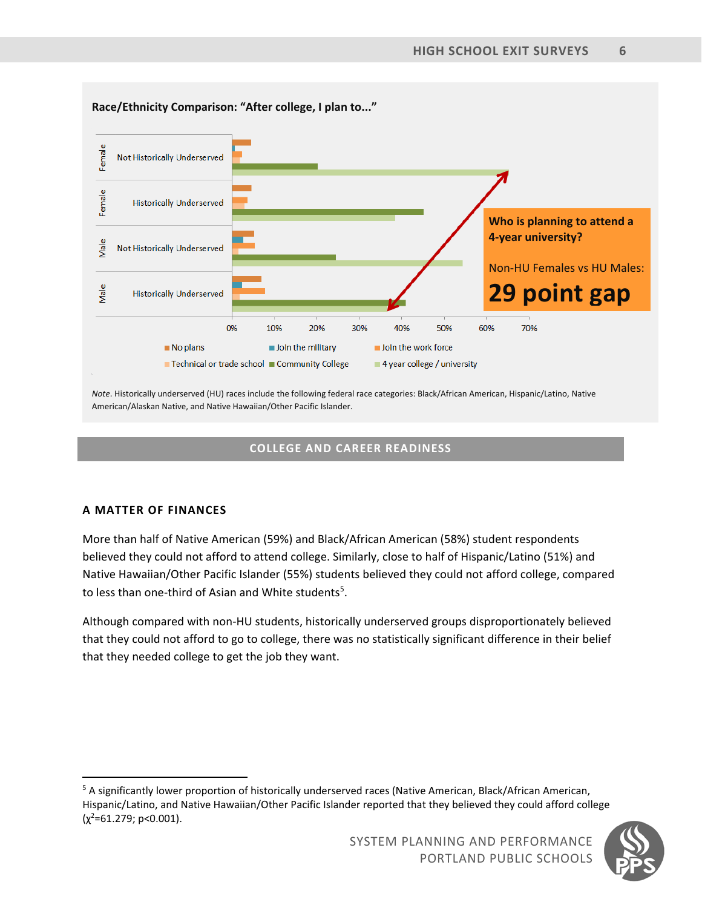

*Note*. Historically underserved (HU) races include the following federal race categories: Black/African American, Hispanic/Latino, Native American/Alaskan Native, and Native Hawaiian/Other Pacific Islander.

# **COLLEGE AND CAREER READINESS**

# **A MATTER OF FINANCES**

More than half of Native American (59%) and Black/African American (58%) student respondents believed they could not afford to attend college. Similarly, close to half of Hispanic/Latino (51%) and Native Hawaiian/Other Pacific Islander (55%) students believed they could not afford college, compared to less than one-third of Asian and White students<sup>5</sup>.

Although compared with non‐HU students, historically underserved groups disproportionately believed that they could not afford to go to college, there was no statistically significant difference in their belief that they needed college to get the job they want.

 <sup>5</sup> A significantly lower proportion of historically underserved races (Native American, Black/African American, Hispanic/Latino, and Native Hawaiian/Other Pacific Islander reported that they believed they could afford college  $(\chi^2 = 61.279; p < 0.001)$ .

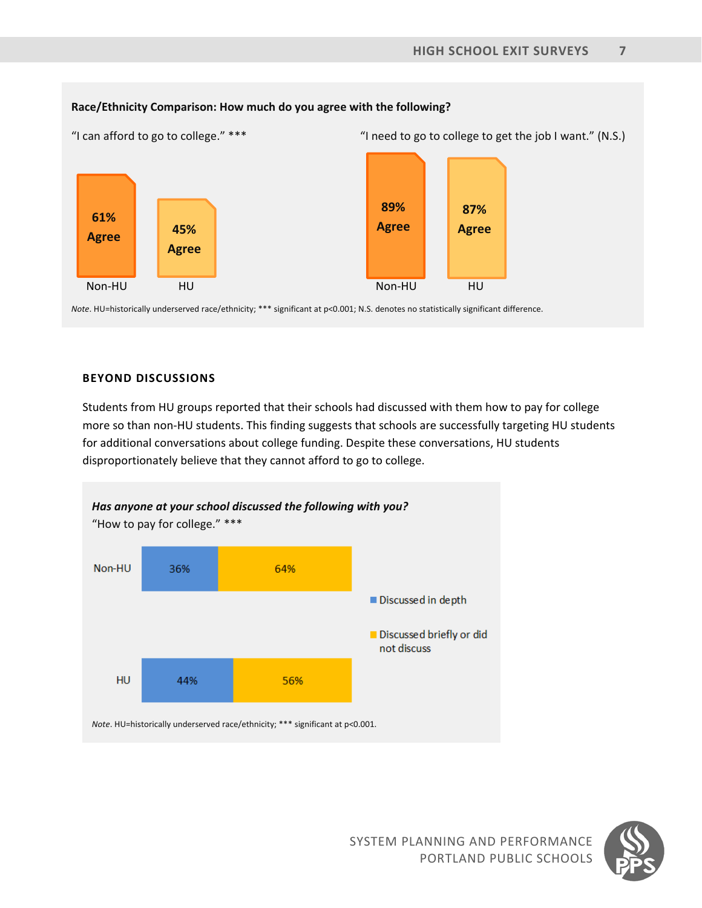

*Note*. HU=historically underserved race/ethnicity; \*\*\* significant at p<0.001; N.S. denotes no statistically significant difference.

# **BEYOND DISCUSSIONS**

Students from HU groups reported that their schools had discussed with them how to pay for college more so than non‐HU students. This finding suggests that schools are successfully targeting HU students for additional conversations about college funding. Despite these conversations, HU students disproportionately believe that they cannot afford to go to college.



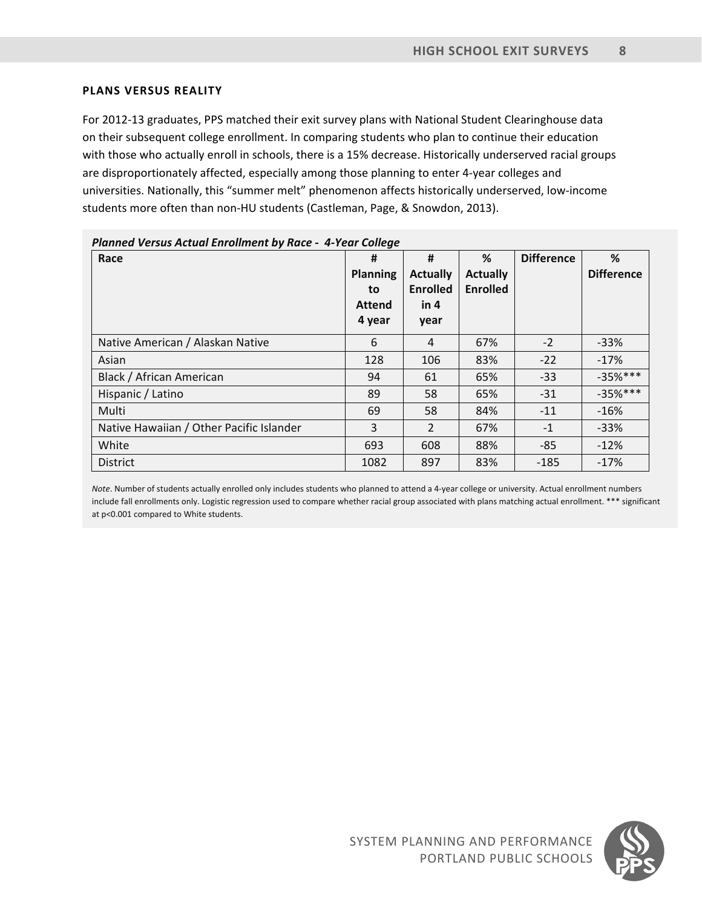#### **PLANS VERSUS REALITY**

For 2012-13 graduates, PPS matched their exit survey plans with National Student Clearinghouse data on their subsequent college enrollment. In comparing students who plan to continue their education with those who actually enroll in schools, there is a 15% decrease. Historically underserved racial groups are disproportionately affected, especially among those planning to enter 4‐year colleges and universities. Nationally, this "summer melt" phenomenon affects historically underserved, low‐income students more often than non‐HU students (Castleman, Page, & Snowdon, 2013).

| Race                                     | #               | #               | %               | <b>Difference</b> | %                 |
|------------------------------------------|-----------------|-----------------|-----------------|-------------------|-------------------|
|                                          | <b>Planning</b> | <b>Actually</b> | <b>Actually</b> |                   | <b>Difference</b> |
|                                          | to              | <b>Enrolled</b> | <b>Enrolled</b> |                   |                   |
|                                          | <b>Attend</b>   | in 4            |                 |                   |                   |
|                                          | 4 year          | year            |                 |                   |                   |
| Native American / Alaskan Native         | 6               | 4               | 67%             | $-2$              | $-33%$            |
| Asian                                    | 128             | 106             | 83%             | $-22$             | $-17%$            |
| Black / African American                 | 94              | 61              | 65%             | $-33$             | $-35%***$         |
| Hispanic / Latino                        | 89              | 58              | 65%             | $-31$             | $-35%***$         |
| Multi                                    | 69              | 58              | 84%             | $-11$             | $-16%$            |
| Native Hawaiian / Other Pacific Islander | 3               | $\overline{2}$  | 67%             | $-1$              | $-33%$            |
| White                                    | 693             | 608             | 88%             | $-85$             | $-12%$            |
| <b>District</b>                          | 1082            | 897             | 83%             | $-185$            | $-17%$            |

*Note*. Number of students actually enrolled only includes students who planned to attend a 4‐year college or university. Actual enrollment numbers include fall enrollments only. Logistic regression used to compare whether racial group associated with plans matching actual enrollment. \*\*\* significant at p<0.001 compared to White students.

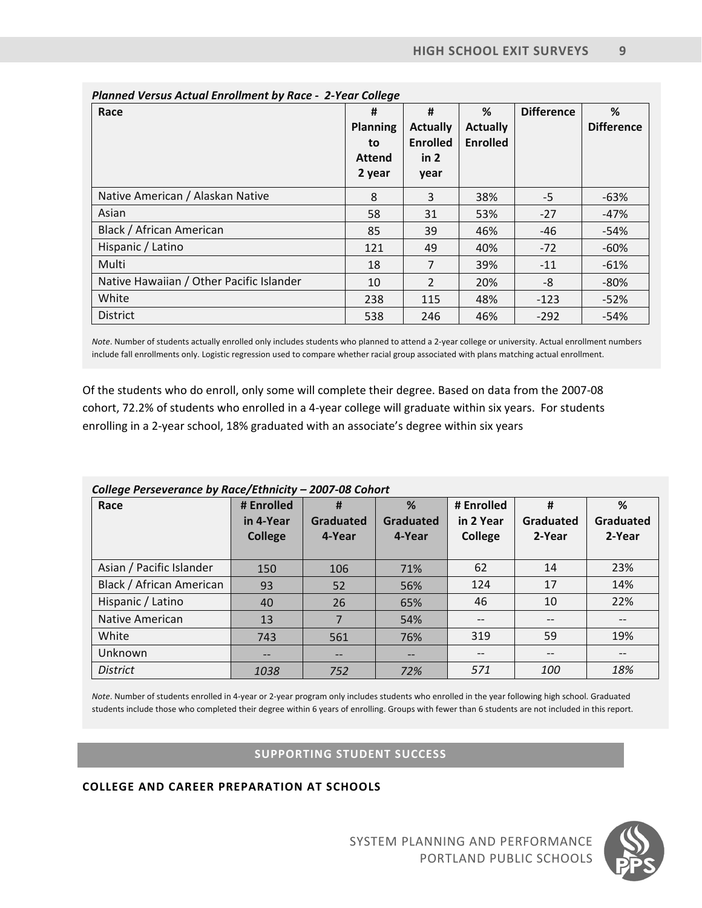| Race                                     | #               | #               | %               | <b>Difference</b> | %                 |
|------------------------------------------|-----------------|-----------------|-----------------|-------------------|-------------------|
|                                          | <b>Planning</b> | <b>Actually</b> | <b>Actually</b> |                   | <b>Difference</b> |
|                                          | to              | <b>Enrolled</b> | <b>Enrolled</b> |                   |                   |
|                                          | <b>Attend</b>   | in 2            |                 |                   |                   |
|                                          | 2 year          | year            |                 |                   |                   |
| Native American / Alaskan Native         | 8               | 3               | 38%             | -5                | $-63%$            |
| Asian                                    | 58              | 31              | 53%             | $-27$             | $-47%$            |
| Black / African American                 | 85              | 39              | 46%             | $-46$             | $-54%$            |
| Hispanic / Latino                        | 121             | 49              | 40%             | $-72$             | $-60%$            |
| Multi                                    | 18              | 7               | 39%             | $-11$             | $-61%$            |
| Native Hawaiian / Other Pacific Islander | 10              | $\overline{2}$  | 20%             | -8                | $-80%$            |
| White                                    | 238             | 115             | 48%             | $-123$            | $-52%$            |
| <b>District</b>                          | 538             | 246             | 46%             | $-292$            | $-54%$            |

*Planned Versus Actual Enrollment by Race ‐ 2‐Year College*

*Note*. Number of students actually enrolled only includes students who planned to attend a 2‐year college or university. Actual enrollment numbers include fall enrollments only. Logistic regression used to compare whether racial group associated with plans matching actual enrollment.

Of the students who do enroll, only some will complete their degree. Based on data from the 2007‐08 cohort, 72.2% of students who enrolled in a 4‐year college will graduate within six years. For students enrolling in a 2‐year school, 18% graduated with an associate's degree within six years

| College Perseverance by Race/Ethnicity - 2007-08 Cohort |                |           |           |                |                   |           |
|---------------------------------------------------------|----------------|-----------|-----------|----------------|-------------------|-----------|
| Race                                                    | # Enrolled     | #         | %         | # Enrolled     | #                 | %         |
|                                                         | in 4-Year      | Graduated | Graduated | in 2 Year      | Graduated         | Graduated |
|                                                         | <b>College</b> | 4-Year    | 4-Year    | <b>College</b> | 2-Year            | 2-Year    |
|                                                         |                |           |           |                |                   |           |
| Asian / Pacific Islander                                | 150            | 106       | 71%       | 62             | 14                | 23%       |
| Black / African American                                | 93             | 52        | 56%       | 124            | 17                | 14%       |
| Hispanic / Latino                                       | 40             | 26        | 65%       | 46             | 10                | 22%       |
| Native American                                         | 13             |           | 54%       | $- -$          | $\qquad \qquad -$ | $- -$     |
| White                                                   | 743            | 561       | 76%       | 319            | 59                | 19%       |
| Unknown                                                 | --             | $- -$     | --        | --             | $- -$             | $- -$     |
| <b>District</b>                                         | 1038           | 752       | 72%       | 571            | 100               | 18%       |

*Note*. Number of students enrolled in 4‐year or 2‐year program only includes students who enrolled in the year following high school. Graduated students include those who completed their degree within 6 years of enrolling. Groups with fewer than 6 students are not included in this report.

# **SUPPORTING STUDENT SUCCESS**

#### **COLLEGE AND CAREER PREPARATION AT SCHOOLS**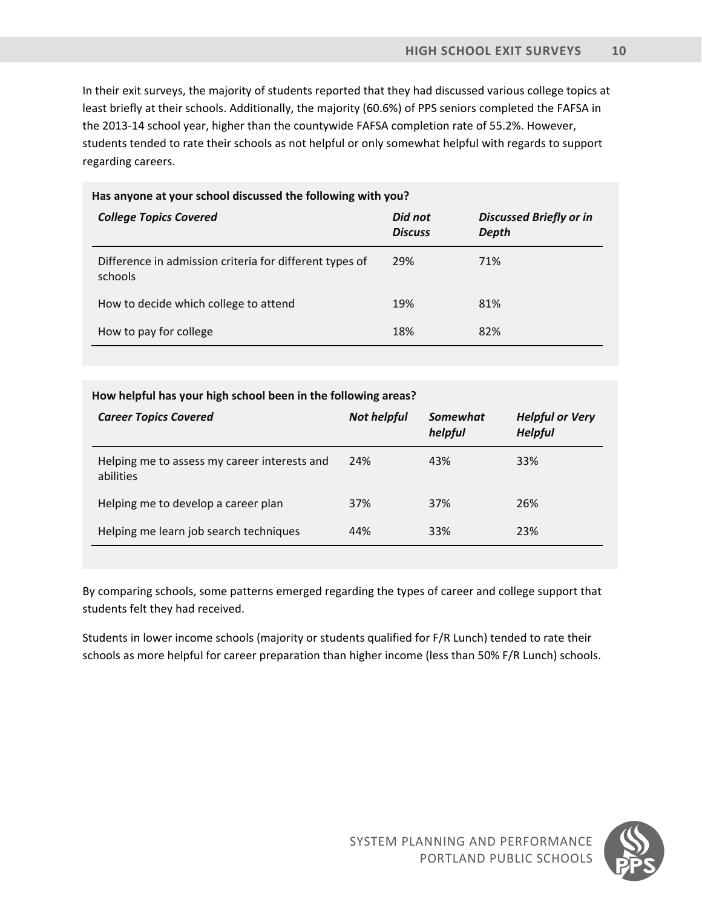In their exit surveys, the majority of students reported that they had discussed various college topics at least briefly at their schools. Additionally, the majority (60.6%) of PPS seniors completed the FAFSA in the 2013‐14 school year, higher than the countywide FAFSA completion rate of 55.2%. However, students tended to rate their schools as not helpful or only somewhat helpful with regards to support regarding careers.

| Has anyone at your school discussed the following with you?        |                           |                                                |  |  |
|--------------------------------------------------------------------|---------------------------|------------------------------------------------|--|--|
| <b>College Topics Covered</b>                                      | Did not<br><b>Discuss</b> | <b>Discussed Briefly or in</b><br><b>Depth</b> |  |  |
| Difference in admission criteria for different types of<br>schools | 29%                       | 71%                                            |  |  |
| How to decide which college to attend                              | 19%                       | 81%                                            |  |  |
| How to pay for college                                             | 18%                       | 82%                                            |  |  |

#### **How helpful has your high school been in the following areas?**

| <b>Career Topics Covered</b>                              | <b>Not helpful</b> | Somewhat<br>helpful | <b>Helpful or Very</b><br><b>Helpful</b> |
|-----------------------------------------------------------|--------------------|---------------------|------------------------------------------|
| Helping me to assess my career interests and<br>abilities | 24%                | 43%                 | 33%                                      |
| Helping me to develop a career plan                       | 37%                | 37%                 | 26%                                      |
| Helping me learn job search techniques                    | 44%                | 33%                 | 23%                                      |
|                                                           |                    |                     |                                          |

By comparing schools, some patterns emerged regarding the types of career and college support that students felt they had received.

Students in lower income schools (majority or students qualified for F/R Lunch) tended to rate their schools as more helpful for career preparation than higher income (less than 50% F/R Lunch) schools.

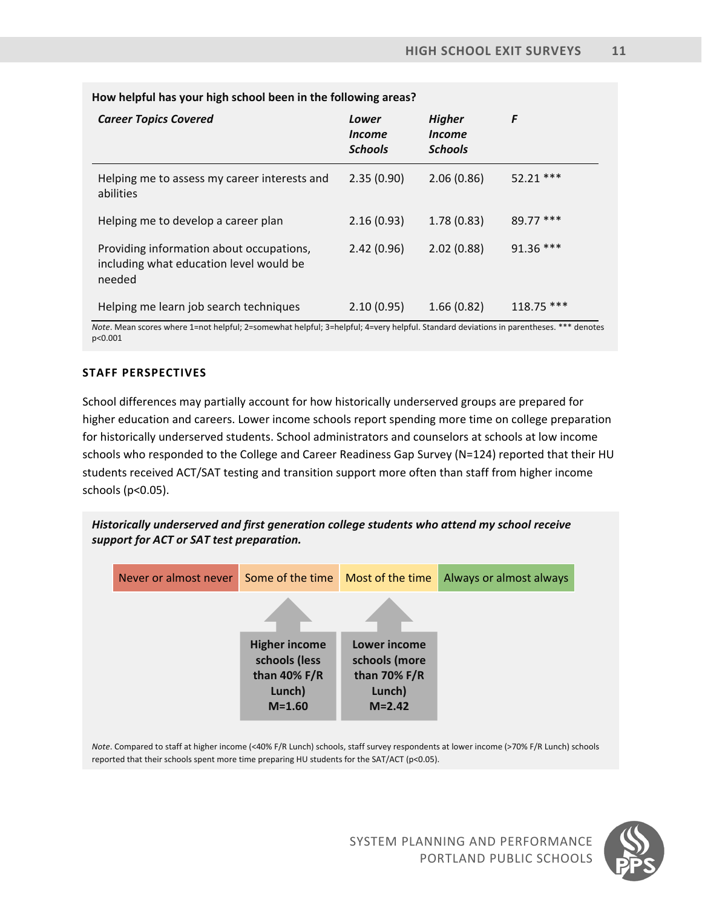| <b>Career Topics Covered</b>                                                                  | Lower<br><i><u><b>Income</b></u></i><br><b>Schools</b> | <b>Higher</b><br><i>Income</i><br><b>Schools</b> | F           |
|-----------------------------------------------------------------------------------------------|--------------------------------------------------------|--------------------------------------------------|-------------|
| Helping me to assess my career interests and<br>abilities                                     | 2.35(0.90)                                             | 2.06(0.86)                                       | $52.21$ *** |
| Helping me to develop a career plan                                                           | 2.16(0.93)                                             | 1.78(0.83)                                       | 89.77 ***   |
| Providing information about occupations,<br>including what education level would be<br>needed | 2.42(0.96)                                             | 2.02(0.88)                                       | $91.36$ *** |
| Helping me learn job search techniques                                                        | 2.10(0.95)                                             | 1.66(0.82)                                       | 118.75 ***  |

#### **How helpful has your high school been in the following areas?**

*Note*. Mean scores where 1=not helpful; 2=somewhat helpful; 3=helpful; 4=very helpful. Standard deviations in parentheses. \*\*\* denotes p<0.001

# **STAFF PERSPECTIVES**

School differences may partially account for how historically underserved groups are prepared for higher education and careers. Lower income schools report spending more time on college preparation for historically underserved students. School administrators and counselors at schools at low income schools who responded to the College and Career Readiness Gap Survey (N=124) reported that their HU students received ACT/SAT testing and transition support more often than staff from higher income schools (p<0.05).





*Note*. Compared to staff at higher income (<40% F/R Lunch) schools, staff survey respondents at lower income (>70% F/R Lunch) schools reported that their schools spent more time preparing HU students for the SAT/ACT (p<0.05).

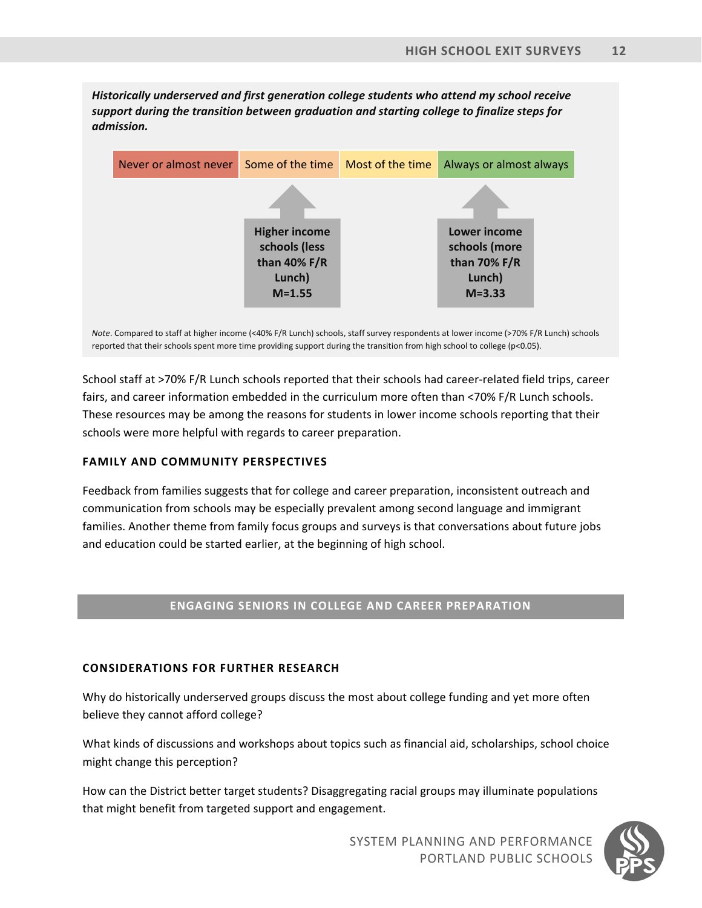*Historically underserved and first generation college students who attend my school receive support during the transition between graduation and starting college to finalize steps for admission.*



*Note*. Compared to staff at higher income (<40% F/R Lunch) schools, staff survey respondents at lower income (>70% F/R Lunch) schools reported that their schools spent more time providing support during the transition from high school to college (p<0.05).

School staff at >70% F/R Lunch schools reported that their schools had career‐related field trips, career fairs, and career information embedded in the curriculum more often than <70% F/R Lunch schools. These resources may be among the reasons for students in lower income schools reporting that their schools were more helpful with regards to career preparation.

# **FAMILY AND COMMUNITY PERSPECTIVES**

Feedback from families suggests that for college and career preparation, inconsistent outreach and communication from schools may be especially prevalent among second language and immigrant families. Another theme from family focus groups and surveys is that conversations about future jobs and education could be started earlier, at the beginning of high school.

# **ENGAGING SENIORS IN COLLEGE AND CAREER PREPARATION**

# **CONSIDERATIONS FOR FURTHER RESEARCH**

Why do historically underserved groups discuss the most about college funding and yet more often believe they cannot afford college?

What kinds of discussions and workshops about topics such as financial aid, scholarships, school choice might change this perception?

How can the District better target students? Disaggregating racial groups may illuminate populations that might benefit from targeted support and engagement.



 SYSTEM PLANNING AND PERFORMANCE PORTLAND PUBLIC SCHOOLS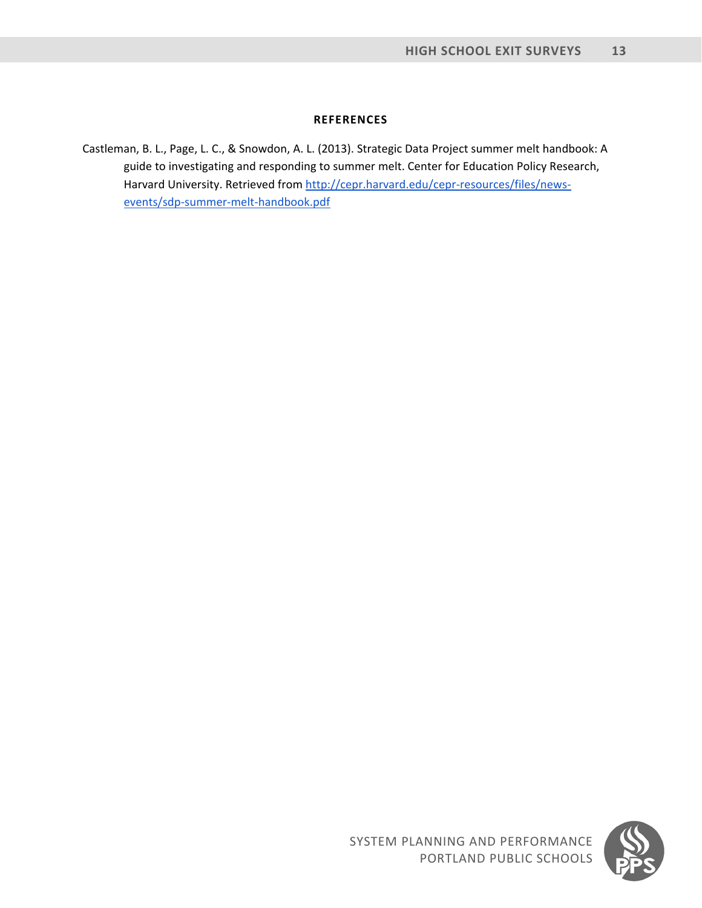# **REFERENCES**

Castleman, B. L., Page, L. C., & Snowdon, A. L. (2013). Strategic Data Project summer melt handbook: A guide to investigating and responding to summer melt. Center for Education Policy Research, Harvard University. Retrieved from http://cepr.harvard.edu/cepr-resources/files/newsevents/sdp‐summer‐melt‐handbook.pdf